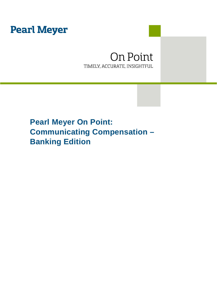# **Pearl Meyer**

## On Point TIMELY, ACCURATE, INSIGHTFUL

# **Pearl Meyer On Point: Communicating Compensation – Banking Edition**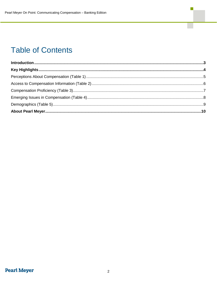# **Table of Contents**

 $\mathbb{R}^n$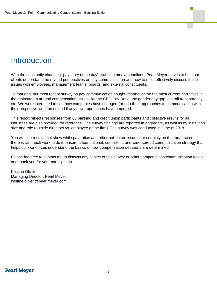## <span id="page-2-0"></span>**Introduction**

With the constantly changing "pay story of the day" grabbing media headlines, Pearl Meyer strives to help our clients understand the myriad perspectives on pay communication and how to most effectively discuss these issues with employees, management teams, boards, and external constituents.

To that end, our most recent survey on pay communication sought information on the most current narratives in the mainstream around compensation issues like the CEO Pay Ratio, the gender pay gap, overall transparency, etc. We were interested to see how companies have changed (or not) their approaches to communicating with their respective workforces and if any new approaches have emerged.

This report reflects responses from 65 banking and credit union participants and collective results for all industries are also provided for reference. The survey findings are reported in aggregate, as well as by institution size and role (outside directors vs. employee of the firm). The survey was conducted in June of 2018.

You will see results that show while pay ratios and other hot-button issues are certainly on the radar screen, there is still much work to do to ensure a foundational, consistent, and wide-spread communication strategy that helps our workforces understand the basics of how compensation decisions are determined.

Please feel free to contact me to discuss any aspect of this survey or other compensation communication topics and thank you for your participation.

Kristine Oliver Managing Director, Pearl Meyer kristine.oliver @pearlmeyer.com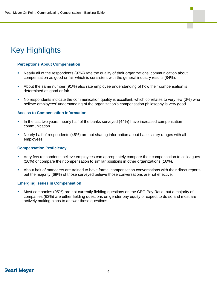# <span id="page-3-0"></span>Key Highlights

### **Perceptions About Compensation**

- Nearly all of the respondents (97%) rate the quality of their organizations' communication about compensation as good or fair which is consistent with the general industry results (84%).
- About the same number (91%) also rate employee understanding of how their compensation is determined as good or fair.
- No respondents indicate the communication quality is excellent, which correlates to very few (3%) who believe employees' understanding of the organization's compensation philosophy is very good.

### **Access to Compensation Information**

- In the last two years, nearly half of the banks surveyed (44%) have increased compensation communication.
- Nearly half of respondents (48%) are not sharing information about base salary ranges with all employees.

### **Compensation Proficiency**

- Very few respondents believe employees can appropriately compare their compensation to colleagues (10%) or compare their compensation to similar positions in other organizations (16%).
- About half of managers are trained to have formal compensation conversations with their direct reports, but the majority (69%) of those surveyed believe those conversations are not effective.

### **Emerging Issues in Compensation**

 Most companies (95%) are not currently fielding questions on the CEO Pay Ratio, but a majority of companies (63%) are either fielding questions on gender pay equity or expect to do so and most are actively making plans to answer those questions.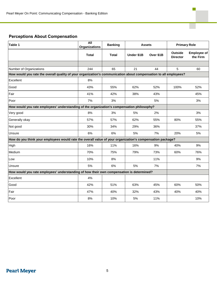## **Perceptions About Compensation**

| Table 1                                                                                                          | All<br><b>Organizations</b> | <b>Banking</b> | <b>Assets</b> |           | <b>Primary Role</b>               |                                |
|------------------------------------------------------------------------------------------------------------------|-----------------------------|----------------|---------------|-----------|-----------------------------------|--------------------------------|
|                                                                                                                  | <b>Total</b>                | <b>Total</b>   | Under \$1B    | Over \$1B | <b>Outside</b><br><b>Director</b> | <b>Employee of</b><br>the Firm |
|                                                                                                                  |                             |                |               |           |                                   |                                |
| Number of Organizations                                                                                          | 244                         | 65             | 21            | 44        | 5                                 | 60                             |
| How would you rate the overall quality of your organization's communication about compensation to all employees? |                             |                |               |           |                                   |                                |
| Excellent                                                                                                        | 8%                          |                |               |           |                                   |                                |
| Good                                                                                                             | 43%                         | 55%            | 62%           | 52%       | 100%                              | 52%                            |
| Fair                                                                                                             | 41%                         | 42%            | 38%           | 43%       |                                   | 45%                            |
| Poor                                                                                                             | 7%                          | 3%             |               | 5%        |                                   | 3%                             |
| How would you rate employees' understanding of the organization's compensation philosophy?                       |                             |                |               |           |                                   |                                |
| Very good                                                                                                        | 8%                          | 3%             | 5%            | 2%        |                                   | 3%                             |
| Generally okay                                                                                                   | 57%                         | 57%            | 62%           | 55%       | 80%                               | 55%                            |
| Not good                                                                                                         | 30%                         | 34%            | 29%           | 36%       |                                   | 37%                            |
| Unsure                                                                                                           | 6%                          | 6%             | 5%            | 7%        | 20%                               | 5%                             |
| How do you think your employees would rate the overall value of your organization's compensation package?        |                             |                |               |           |                                   |                                |
| High                                                                                                             | 16%                         | 11%            | 16%           | 9%        | 40%                               | 9%                             |
| Medium                                                                                                           | 70%                         | 75%            | 79%           | 73%       | 60%                               | 76%                            |
| Low                                                                                                              | 10%                         | 8%             |               | 11%       |                                   | 9%                             |
| Unsure                                                                                                           | 5%                          | 6%             | 5%            | 7%        |                                   | 7%                             |
| How would you rate employees' understanding of how their own compensation is determined?                         |                             |                |               |           |                                   |                                |
| Excellent                                                                                                        | 4%                          |                |               |           |                                   |                                |
| Good                                                                                                             | 42%                         | 51%            | 63%           | 45%       | 60%                               | 50%                            |
| Fair                                                                                                             | 47%                         | 40%            | 32%           | 43%       | 40%                               | 40%                            |
| Poor                                                                                                             | 8%                          | 10%            | 5%            | 11%       |                                   | 10%                            |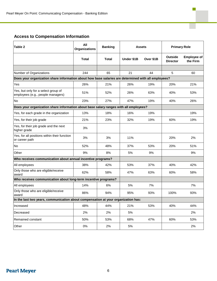## **Access to Compensation Information**

| Table 2                                                                                             | All<br><b>Organizations</b> | <b>Banking</b> | Assets     |           | <b>Primary Role</b>               |                                |
|-----------------------------------------------------------------------------------------------------|-----------------------------|----------------|------------|-----------|-----------------------------------|--------------------------------|
|                                                                                                     | <b>Total</b>                | <b>Total</b>   | Under \$1B | Over \$1B | <b>Outside</b><br><b>Director</b> | <b>Employee of</b><br>the Firm |
|                                                                                                     |                             |                |            |           |                                   |                                |
| Number of Organizations                                                                             | 244                         | 65             | 21         | 44        | 5                                 | 60                             |
| Does your organization share information about how base salaries are determined with all employees? |                             |                |            |           |                                   |                                |
| Yes                                                                                                 | 26%                         | 21%            | 26%        | 19%       | 20%                               | 21%                            |
| Yes, but only for a select group of<br>employees (e.g., people managers)                            | 51%                         | 52%            | 26%        | 63%       | 40%                               | 53%                            |
| No                                                                                                  | 23%                         | 27%            | 47%        | 19%       | 40%                               | 26%                            |
| Does your organization share information about base salary ranges with all employees?               |                             |                |            |           |                                   |                                |
| Yes, for each grade in the organization                                                             | 13%                         | 18%            | 16%        | 19%       |                                   | 19%                            |
| Yes, for their job grade                                                                            | 21%                         | 23%            | 32%        | 19%       | 60%                               | 19%                            |
| Yes, for their job grade and the next<br>higher grade                                               | 3%                          |                |            |           |                                   |                                |
| Yes, for all positions within their function<br>or career path                                      | 3%                          | 3%             | 11%        |           | 20%                               | 2%                             |
| No                                                                                                  | 52%                         | 48%            | 37%        | 53%       | 20%                               | 51%                            |
| Other                                                                                               | 9%                          | 8%             | 5%         | 9%        |                                   | 9%                             |
| Who receives communication about annual incentive programs?                                         |                             |                |            |           |                                   |                                |
| All employees                                                                                       | 38%                         | 42%            | 53%        | 37%       | 40%                               | 42%                            |
| Only those who are eligible/receive<br>award                                                        | 62%                         | 58%            | 47%        | 63%       | 60%                               | 58%                            |
| Who receives communication about long-term incentive programs?                                      |                             |                |            |           |                                   |                                |
| All employees                                                                                       | 14%                         | 6%             | 5%         | 7%        |                                   | 7%                             |
| Only those who are eligible/receive<br>award                                                        | 86%                         | 94%            | 95%        | 93%       | 100%                              | 93%                            |
| In the last two years, communication about compensation at your organization has:                   |                             |                |            |           |                                   |                                |
| Increased                                                                                           | 48%                         | 44%            | 21%        | 53%       | 40%                               | 44%                            |
| Decreased                                                                                           | 2%                          | 2%             | 5%         |           |                                   | 2%                             |
| Remained constant                                                                                   | 50%                         | 53%            | 68%        | 47%       | 60%                               | 53%                            |
| Other                                                                                               | $0\%$                       | 2%             | $5\%$      |           |                                   | 2%                             |

Г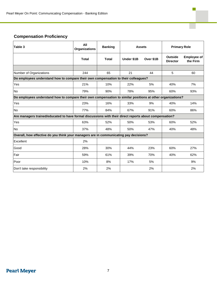## **Compensation Proficiency**

| Table 3                                                                                                    | All<br><b>Organizations</b> | <b>Banking</b> | <b>Assets</b> |           | <b>Primary Role</b>               |                                |
|------------------------------------------------------------------------------------------------------------|-----------------------------|----------------|---------------|-----------|-----------------------------------|--------------------------------|
|                                                                                                            | <b>Total</b>                | <b>Total</b>   | Under \$1B    | Over \$1B | <b>Outside</b><br><b>Director</b> | <b>Employee of</b><br>the Firm |
|                                                                                                            |                             |                |               |           |                                   |                                |
| Number of Organizations                                                                                    | 244                         | 65             | 21            | 44        | 5                                 | 60                             |
| Do employees understand how to compare their own compensation to their colleagues?                         |                             |                |               |           |                                   |                                |
| Yes                                                                                                        | 21%                         | 10%            | 22%           | 5%        | 40%                               | 7%                             |
| <b>No</b>                                                                                                  | 79%                         | 90%            | 78%           | 95%       | 60%                               | 93%                            |
| Do employees understand how to compare their own compensation to similar positions at other organizations? |                             |                |               |           |                                   |                                |
| Yes                                                                                                        | 23%                         | 16%            | 33%           | 9%        | 40%                               | 14%                            |
| <b>No</b>                                                                                                  | 77%                         | 84%            | 67%           | 91%       | 60%                               | 86%                            |
| Are managers trained/educated to have formal discussions with their direct reports about compensation?     |                             |                |               |           |                                   |                                |
| Yes                                                                                                        | 63%                         | 52%            | 50%           | 53%       | 60%                               | 52%                            |
| <b>No</b>                                                                                                  | 37%                         | 48%            | 50%           | 47%       | 40%                               | 48%                            |
| Overall, how effective do you think your managers are in communicating pay decisions?                      |                             |                |               |           |                                   |                                |
| Excellent                                                                                                  | 2%                          |                |               |           |                                   |                                |
| Good                                                                                                       | 28%                         | 30%            | 44%           | 23%       | 60%                               | 27%                            |
| Fair                                                                                                       | 59%                         | 61%            | 39%           | 70%       | 40%                               | 62%                            |
| Poor                                                                                                       | 10%                         | 8%             | 17%           | 5%        |                                   | 9%                             |
| Don't take responsibility                                                                                  | 2%                          | 2%             |               | 2%        |                                   | 2%                             |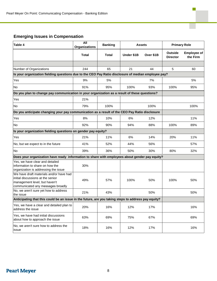## **Emerging Issues in Compensation**

| Table 4                                                                                                                                            | All<br><b>Organizations</b> | <b>Banking</b> | <b>Assets</b> |           | <b>Primary Role</b>        |                                |
|----------------------------------------------------------------------------------------------------------------------------------------------------|-----------------------------|----------------|---------------|-----------|----------------------------|--------------------------------|
|                                                                                                                                                    | <b>Total</b>                | <b>Total</b>   | Under \$1B    | Over \$1B | Outside<br><b>Director</b> | <b>Employee of</b><br>the Firm |
|                                                                                                                                                    |                             |                |               |           |                            |                                |
| Number of Organizations                                                                                                                            | 244                         | 65             | 21            | 44        | 5                          | 60                             |
| Is your organization fielding questions due to the CEO Pay Ratio disclosure of median employee pay?                                                |                             |                |               |           |                            |                                |
| Yes                                                                                                                                                | 9%                          | 5%             |               | 7%        |                            | 5%                             |
| No                                                                                                                                                 | 91%                         | 95%            | 100%          | 93%       | 100%                       | 95%                            |
| Do you plan to change pay communication in your organization as a result of these questions?                                                       |                             |                |               |           |                            |                                |
| Yes                                                                                                                                                | 21%                         |                |               |           |                            |                                |
| No                                                                                                                                                 | 79%                         | 100%           |               | 100%      |                            | 100%                           |
| Do you anticipate changing your pay communication as a result of the CEO Pay Ratio disclosure                                                      |                             |                |               |           |                            |                                |
| Yes                                                                                                                                                | 8%                          | 10%            | 6%            | 12%       |                            | 11%                            |
| No                                                                                                                                                 | 92%                         | 90%            | 94%           | 88%       | 100%                       | 89%                            |
| Is your organization fielding questions on gender pay equity?                                                                                      |                             |                |               |           |                            |                                |
| Yes                                                                                                                                                | 21%                         | 11%            | 6%            | 14%       | 20%                        | 11%                            |
| No, but we expect to in the future                                                                                                                 | 41%                         | 52%            | 44%           | 56%       |                            | 57%                            |
| No                                                                                                                                                 | 39%                         | 36%            | 50%           | 30%       | 80%                        | 32%                            |
| Does your organization have ready information to share with employees about gender pay equity?                                                     |                             |                |               |           |                            |                                |
| Yes, we have clear and detailed<br>information to share on how the<br>organization is addressing the issue                                         | 30%                         |                |               |           |                            |                                |
| We have draft materials and/or have had<br>initial discussions at the senior<br>management level, but haven't<br>communicated any messages broadly | 49%                         | 57%            | 100%          | 50%       | 100%                       | 50%                            |
| No, we aren't sure yet how to address<br>the issue                                                                                                 | 21%                         | 43%            |               | 50%       |                            | 50%                            |
| Anticipating that this could be an issue in the future, are you taking steps to address pay equity?                                                |                             |                |               |           |                            |                                |
| Yes, we have a clear and detailed plan to<br>address the issue                                                                                     | 20%                         | 16%            | 12%           | 17%       |                            | 16%                            |
| Yes, we have had initial discussions<br>about how to approach the issue                                                                            | 63%                         | 69%            | 75%           | 67%       |                            | 69%                            |
| No, we aren't sure how to address the<br>issue                                                                                                     | 18%                         | 16%            | 12%           | 17%       |                            | 16%                            |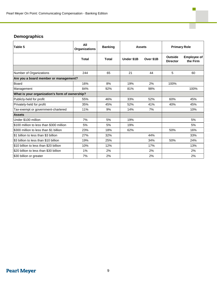## **Demographics**

| Table 5                                        | All<br><b>Organizations</b> | <b>Banking</b> | <b>Assets</b> |           | <b>Primary Role</b>        |                                |
|------------------------------------------------|-----------------------------|----------------|---------------|-----------|----------------------------|--------------------------------|
|                                                | <b>Total</b>                | <b>Total</b>   | Under \$1B    | Over \$1B | Outside<br><b>Director</b> | <b>Employee of</b><br>the Firm |
|                                                |                             |                |               |           |                            |                                |
| Number of Organizations                        | 244                         | 65             | 21            | 44        | 5                          | 60                             |
| Are you a board member or management?          |                             |                |               |           |                            |                                |
| Board                                          | 16%                         | 8%             | 19%           | 2%        | 100%                       |                                |
| Management                                     | 84%                         | 92%            | 81%           | 98%       |                            | 100%                           |
| What is your organization's form of ownership? |                             |                |               |           |                            |                                |
| Publicly-held for profit                       | 55%                         | 46%            | 33%           | 52%       | 60%                        | 45%                            |
| Privately-held for profit                      | 35%                         | 45%            | 52%           | 41%       | 40%                        | 45%                            |
| Tax-exempt or government-chartered             | 11%                         | 9%             | 14%           | 7%        |                            | 10%                            |
| <b>Assets</b>                                  |                             |                |               |           |                            |                                |
| Under \$100 million                            | 7%                          | 5%             | 19%           |           |                            | 5%                             |
| \$100 million to less than \$300 million       | 5%                          | 5%             | 19%           |           |                            | 5%                             |
| \$300 million to less than \$1 billion         | 23%                         | 18%            | 62%           |           | 50%                        | 16%                            |
| \$1 billion to less than \$3 billion           | 27%                         | 32%            |               | 44%       |                            | 33%                            |
| \$3 billion to less than \$10 billion          | 19%                         | 25%            |               | 34%       | 50%                        | 24%                            |
| \$10 billion to less than \$20 billion         | 10%                         | 12%            |               | 17%       |                            | 13%                            |
| \$20 billion to less than \$30 billion         | 1%                          | 2%             |               | 2%        |                            | 2%                             |
| \$30 billion or greater                        | 7%                          | 2%             |               | 2%        |                            | 2%                             |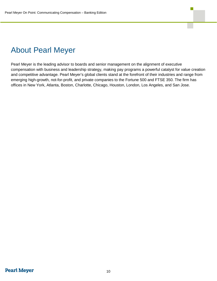## <span id="page-9-0"></span>About Pearl Meyer

Pearl Meyer is the leading advisor to boards and senior management on the alignment of executive compensation with business and leadership strategy, making pay programs a powerful catalyst for value creation and competitive advantage. Pearl Meyer's global clients stand at the forefront of their industries and range from emerging high-growth, not-for-profit, and private companies to the Fortune 500 and FTSE 350. The firm has offices in New York, Atlanta, Boston, Charlotte, Chicago, Houston, London, Los Angeles, and San Jose.